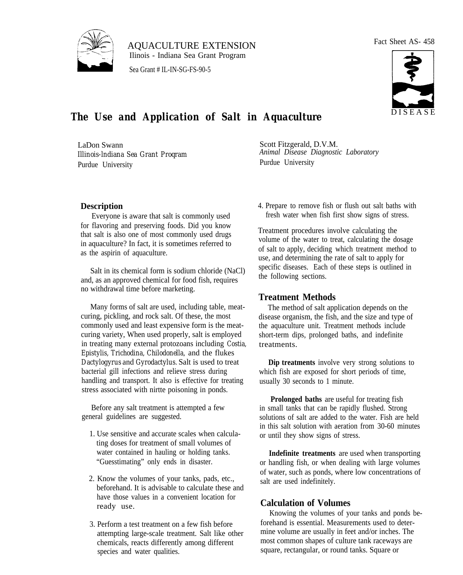

AQUACULTURE EXTENSION Ilinois - Indiana Sea Grant Program

Sea Grant # IL-IN-SG-FS-90-5

#### Fact Sheet AS- 458



# **The Use and Application of Salt in Aquaculture** DISEASE

LaDon Swann *Illinois-lndiana Sea Grant Proqram* Purdue University

Scott Fitzgerald, D.V.M. *Animal Disease Diagnostic Laboratory* Purdue University

**Description**

Everyone is aware that salt is commonly used for flavoring and preserving foods. Did you know that salt is also one of most commonly used drugs in aquaculture? In fact, it is sometimes referred to as the aspirin of aquaculture.

Salt in its chemical form is sodium chloride (NaCl) and, as an approved chemical for food fish, requires no withdrawal time before marketing.

Many forms of salt are used, including table, meatcuring, pickling, and rock salt. Of these, the most commonly used and least expensive form is the meatcuring variety, When used properly, salt is employed in treating many external protozoans including *Costia, Epistylis, Trichodina, Chilodonella,* and the flukes *Dactylogyrus* and *Gyrodactylus.* Salt is used to treat bacterial gill infections and relieve stress during handling and transport. It also is effective for treating stress associated with nirtte poisoning in ponds.

Before any salt treatment is attempted a few general guidelines are suggested.

- 1. Use sensitive and accurate scales when calculating doses for treatment of small volumes of water contained in hauling or holding tanks. "Guesstimating" only ends in disaster.
- 2. Know the volumes of your tanks, pads, etc., beforehand. It is advisable to calculate these and have those values in a convenient location for ready use.
- 3. Perform a test treatment on a few fish before attempting large-scale treatment. Salt like other chemicals, reacts differently among different species and water qualities.

4. Prepare to remove fish or flush out salt baths with fresh water when fish first show signs of stress.

Treatment procedures involve calculating the volume of the water to treat, calculating the dosage of salt to apply, deciding which treatment method to use, and determining the rate of salt to apply for specific diseases. Each of these steps is outlined in the following sections.

### **Treatment Methods**

The method of salt application depends on the disease organism, the fish, and the size and type of the aquaculture unit. Treatment methods include short-term dips, prolonged baths, and indefinite treatments.

**Dip treatments** involve very strong solutions to which fish are exposed for short periods of time, usually 30 seconds to 1 minute.

**Prolonged baths** are useful for treating fish in small tanks that can be rapidly flushed. Strong solutions of salt are added to the water. Fish are held in this salt solution with aeration from 30-60 minutes or until they show signs of stress.

**Indefinite treatments** are used when transporting or handling fish, or when dealing with large volumes of water, such as ponds, where low concentrations of salt are used indefinitely.

## **Calculation of Volumes**

Knowing the volumes of your tanks and ponds beforehand is essential. Measurements used to determine volume are usually in feet and/or inches. The most common shapes of culture tank raceways are square, rectangular, or round tanks. Square or